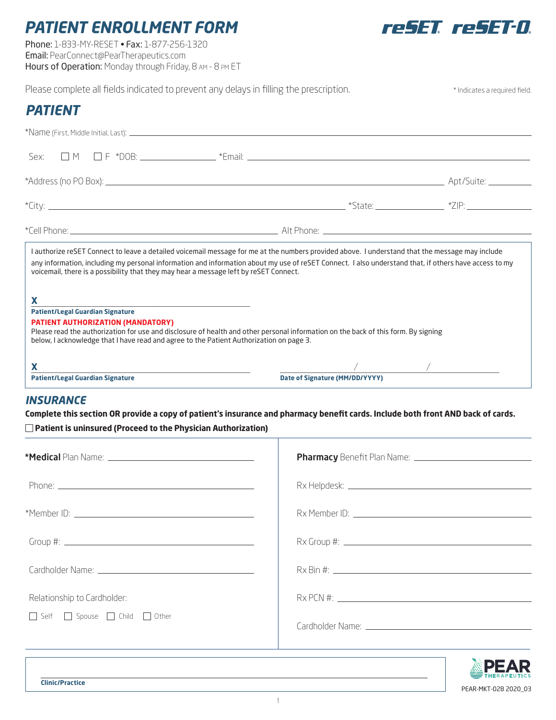# *PATIENT ENROLLMENT FORM*

Phone: 1-833-MY-RESET • Fax: 1-877-256-1320 Email: PearConnect@PearTherapeutics.com Hours of Operation: Monday through Friday, 8 AM - 8 PM ET



PEAR-MKT-028 2020\_03

| voicemail, there is a possibility that they may hear a message left by reSET Connect.<br><b>X</b><br>the control of the control of the control of the control of the control of the control of the control of the control of the control of the control of the control of the control of the control of the control of the control<br><b>Patient/Legal Guardian Signature</b><br><b>PATIENT AUTHORIZATION (MANDATORY)</b><br>below, I acknowledge that I have read and agree to the Patient Authorization on page 3.<br><b>X</b><br><b>Patient/Legal Guardian Signature</b> | any information, including my personal information and information about my use of reSET Connect. I also understand that, if others have access to my<br>Please read the authorization for use and disclosure of health and other personal information on the back of this form. By signing<br>Date of Signature (MM/DD/YYYY) | $\frac{1}{2}$ . The set of $\frac{1}{2}$ is the set of $\frac{1}{2}$ . The set of $\frac{1}{2}$ |
|-----------------------------------------------------------------------------------------------------------------------------------------------------------------------------------------------------------------------------------------------------------------------------------------------------------------------------------------------------------------------------------------------------------------------------------------------------------------------------------------------------------------------------------------------------------------------------|-------------------------------------------------------------------------------------------------------------------------------------------------------------------------------------------------------------------------------------------------------------------------------------------------------------------------------|-------------------------------------------------------------------------------------------------|
|                                                                                                                                                                                                                                                                                                                                                                                                                                                                                                                                                                             |                                                                                                                                                                                                                                                                                                                               |                                                                                                 |
|                                                                                                                                                                                                                                                                                                                                                                                                                                                                                                                                                                             |                                                                                                                                                                                                                                                                                                                               |                                                                                                 |
|                                                                                                                                                                                                                                                                                                                                                                                                                                                                                                                                                                             | I authorize reSET Connect to leave a detailed voicemail message for me at the numbers provided above. I understand that the message may include                                                                                                                                                                               |                                                                                                 |
|                                                                                                                                                                                                                                                                                                                                                                                                                                                                                                                                                                             |                                                                                                                                                                                                                                                                                                                               |                                                                                                 |
|                                                                                                                                                                                                                                                                                                                                                                                                                                                                                                                                                                             |                                                                                                                                                                                                                                                                                                                               |                                                                                                 |
|                                                                                                                                                                                                                                                                                                                                                                                                                                                                                                                                                                             |                                                                                                                                                                                                                                                                                                                               |                                                                                                 |
| Sex:                                                                                                                                                                                                                                                                                                                                                                                                                                                                                                                                                                        |                                                                                                                                                                                                                                                                                                                               |                                                                                                 |
|                                                                                                                                                                                                                                                                                                                                                                                                                                                                                                                                                                             |                                                                                                                                                                                                                                                                                                                               |                                                                                                 |
|                                                                                                                                                                                                                                                                                                                                                                                                                                                                                                                                                                             |                                                                                                                                                                                                                                                                                                                               |                                                                                                 |
| <b>PATIENT</b>                                                                                                                                                                                                                                                                                                                                                                                                                                                                                                                                                              |                                                                                                                                                                                                                                                                                                                               |                                                                                                 |

## *INSURANCE*

**Complete this section OR provide a copy of patient's insurance and pharmacy benefit cards. Include both front AND back of cards. Patient is uninsured (Proceed to the Physician Authorization)**

| Relationship to Cardholder: |  |
|-----------------------------|--|
| Self Spouse Child Other     |  |
|                             |  |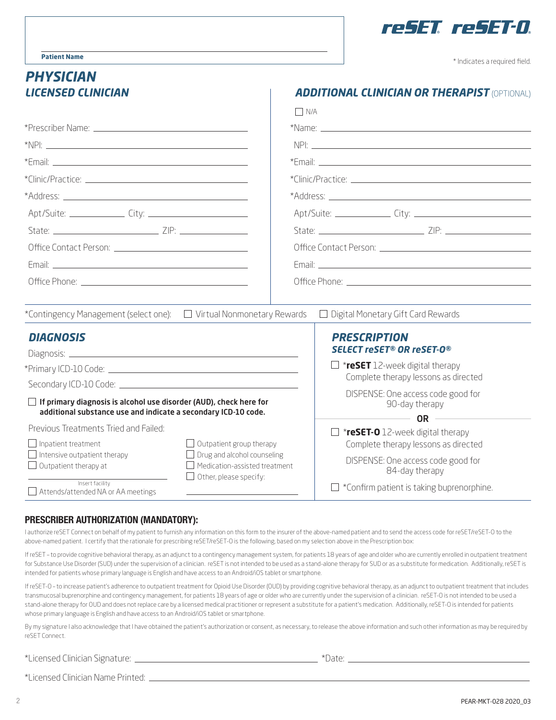

\* Indicates a required field.

#### **Patient Name**

# *PHYSICIAN*

|                                                                                                                                             | $\Box$ $N/A$                                                        |                                                      |  |
|---------------------------------------------------------------------------------------------------------------------------------------------|---------------------------------------------------------------------|------------------------------------------------------|--|
|                                                                                                                                             |                                                                     |                                                      |  |
|                                                                                                                                             |                                                                     | $NPI:$ $\qquad \qquad$                               |  |
|                                                                                                                                             |                                                                     |                                                      |  |
|                                                                                                                                             |                                                                     |                                                      |  |
|                                                                                                                                             |                                                                     |                                                      |  |
|                                                                                                                                             |                                                                     |                                                      |  |
|                                                                                                                                             |                                                                     |                                                      |  |
|                                                                                                                                             |                                                                     |                                                      |  |
|                                                                                                                                             |                                                                     |                                                      |  |
|                                                                                                                                             |                                                                     |                                                      |  |
|                                                                                                                                             |                                                                     |                                                      |  |
| *Contingency Management (select one):<br><u>I</u> Virtual Nonmonetary Rewards                                                               |                                                                     | $\Box$ Digital Monetary Gift Card Rewards            |  |
| <b>DIAGNOSIS</b>                                                                                                                            |                                                                     | <b>PRESCRIPTION</b>                                  |  |
|                                                                                                                                             |                                                                     | <b>SELECT reSET® OR reSET-0®</b>                     |  |
|                                                                                                                                             |                                                                     | $\Box$ *reSET 12-week digital therapy                |  |
|                                                                                                                                             |                                                                     | Complete therapy lessons as directed                 |  |
| $\Box$ If primary diagnosis is alcohol use disorder (AUD), check here for<br>additional substance use and indicate a secondary ICD-10 code. |                                                                     | DISPENSE: One access code good for<br>90-day therapy |  |
|                                                                                                                                             |                                                                     | $OR$ $\qquad$                                        |  |
| Previous Treatments Tried and Failed:                                                                                                       |                                                                     | $\Box$ *reSET-O 12-week digital therapy              |  |
| $\Box$ Inpatient treatment                                                                                                                  | $\Box$ Outpatient group therapy                                     | Complete therapy lessons as directed                 |  |
| $\Box$ Intensive outpatient therapy<br>$\Box$ Outpatient therapy at                                                                         | $\Box$ Drug and alcohol counseling<br>Medication-assisted treatment | DISPENSE: One access code good for                   |  |
| $\Box$ Other, please specify:<br>Insert facility                                                                                            |                                                                     | 84-day therapy                                       |  |
| $\Box$ Attends/attended NA or AA meetings                                                                                                   |                                                                     | *Confirm patient is taking buprenorphine.            |  |

 $\blacksquare$ 

### PRESCRIBER AUTHORIZATION (MANDATORY):

I authorize reSET Connect on behalf of my patient to furnish any information on this form to the insurer of the above-named patient and to send the access code for reSET/reSET-O to the above-named patient. I certify that the rationale for prescribing reSET/reSET-O is the following, based on my selection above in the Prescription box:

If reSET - to provide cognitive behavioral therapy, as an adjunct to a contingency management system, for patients 18 years of age and older who are currently enrolled in outpatient treatment for Substance Use Disorder (SUD) under the supervision of a clinician. reSET is not intended to be used as a stand-alone therapy for SUD or as a substitute for medication. Additionally, reSET is intended for patients whose primary language is English and have access to an Android/iOS tablet or smartphone.

If reSET-O – to increase patient's adherence to outpatient treatment for Opioid Use Disorder (OUD) by providing cognitive behavioral therapy, as an adjunct to outpatient treatment that includes transmucosal buprenorphine and contingency management, for patients 18 years of age or older who are currently under the supervision of a clinician. reSET-O is not intended to be used a stand-alone therapy for OUD and does not replace care by a licensed medical practitioner or represent a substitute for a patient's medication. Additionally, reSET-O is intended for patients whose primary language is English and have access to an Android/iOS tablet or smartphone.

By my signature I also acknowledge that I have obtained the patient's authorization or consent, as necessary, to release the above information and such other information as may be required by reSET Connect.

\*Licensed Clinician Signature: \*Date:

\*Licensed Clinician Name Printed: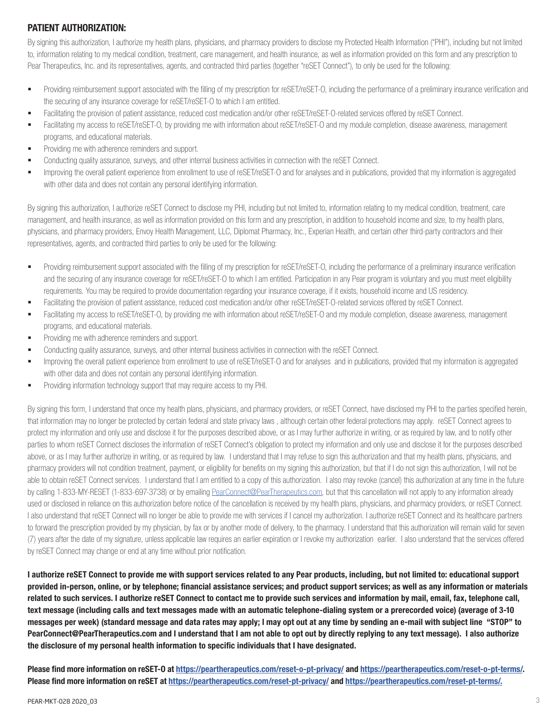# PATIENT AUTHORIZATION:

By signing this authorization, I authorize my health plans, physicians, and pharmacy providers to disclose my Protected Health Information ("PHI"), including but not limited to, information relating to my medical condition, treatment, care management, and health insurance, as well as information provided on this form and any prescription to Pear Therapeutics, Inc. and its representatives, agents, and contracted third parties (together "reSET Connect"), to only be used for the following:

- Providing reimbursement support associated with the filling of my prescription for reSET/reSET-O, including the performance of a preliminary insurance verification and the securing of any insurance coverage for reSET/reSET-O to which I am entitled.
- Facilitating the provision of patient assistance, reduced cost medication and/or other reSET/reSET-O-related services offered by reSET Connect.
- Facilitating my access to reSET/reSET-O, by providing me with information about reSET/reSET-O and my module completion, disease awareness, management programs, and educational materials.
- **Providing me with adherence reminders and support.**
- Conducting quality assurance, surveys, and other internal business activities in connection with the reSET Connect.
- Improving the overall patient experience from enrollment to use of reSET/reSET-O and for analyses and in publications, provided that my information is aggregated with other data and does not contain any personal identifying information.

By signing this authorization, I authorize reSET Connect to disclose my PHI, including but not limited to, information relating to my medical condition, treatment, care management, and health insurance, as well as information provided on this form and any prescription, in addition to household income and size, to my health plans, physicians, and pharmacy providers, Envoy Health Management, LLC, Diplomat Pharmacy, Inc., Experian Health, and certain other third-party contractors and their representatives, agents, and contracted third parties to only be used for the following:

- Providing reimbursement support associated with the filling of my prescription for reSET/reSET-O, including the performance of a preliminary insurance verification and the securing of any insurance coverage for reSET/reSET-O to which I am entitled. Participation in any Pear program is voluntary and you must meet eligibility requirements. You may be required to provide documentation regarding your insurance coverage, if it exists, household income and US residency.
- Facilitating the provision of patient assistance, reduced cost medication and/or other reSET/reSET-O-related services offered by reSET Connect.
- Facilitating my access to reSET/reSET-O, by providing me with information about reSET/reSET-O and my module completion, disease awareness, management programs, and educational materials.
- **Providing me with adherence reminders and support.**
- Conducting quality assurance, surveys, and other internal business activities in connection with the reSET Connect.
- Improving the overall patient experience from enrollment to use of reSET/reSET-O and for analyses and in publications, provided that my information is aggregated with other data and does not contain any personal identifying information.
- **Providing information technology support that may require access to my PHI.**

By signing this form, I understand that once my health plans, physicians, and pharmacy providers, or reSET Connect, have disclosed my PHI to the parties specified herein, that information may no longer be protected by certain federal and state privacy laws , although certain other federal protections may apply. reSET Connect agrees to protect my information and only use and disclose it for the purposes described above, or as I may further authorize in writing, or as required by law, and to notify other parties to whom reSET Connect discloses the information of reSET Connect's obligation to protect my information and only use and disclose it for the purposes described above, or as I may further authorize in writing, or as required by law. I understand that I may refuse to sign this authorization and that my health plans, physicians, and pharmacy providers will not condition treatment, payment, or eligibility for benefits on my signing this authorization, but that if I do not sign this authorization, I will not be able to obtain reSET Connect services. I understand that I am entitled to a copy of this authorization. I also may revoke (cancel) this authorization at any time in the future by calling 1-833-MY-RESET (1-833-697-3738) or by emailing PearConnect@PearTherapeutics.com, but that this cancellation will not apply to any information already used or disclosed in reliance on this authorization before notice of the cancellation is received by my health plans, physicians, and pharmacy providers, or reSET Connect. I also understand that reSET Connect will no longer be able to provide me with services if I cancel my authorization. I authorize reSET Connect and its healthcare partners to forward the prescription provided by my physician, by fax or by another mode of delivery, to the pharmacy. I understand that this authorization will remain valid for seven (7) years after the date of my signature, unless applicable law requires an earlier expiration or I revoke my authorization earlier. I also understand that the services offered by reSET Connect may change or end at any time without prior notification.

I authorize reSET Connect to provide me with support services related to any Pear products, including, but not limited to: educational support provided in-person, online, or by telephone; financial assistance services; and product support services; as well as any information or materials related to such services. I authorize reSET Connect to contact me to provide such services and information by mail, email, fax, telephone call, text message (including calls and text messages made with an automatic telephone-dialing system or a prerecorded voice) (average of 3-10 messages per week) (standard message and data rates may apply; I may opt out at any time by sending an e-mail with subject line "STOP" to PearConnect@PearTherapeutics.com and I understand that I am not able to opt out by directly replying to any text message). I also authorize the disclosure of my personal health information to specific individuals that I have designated.

Please find more information on reSET-O at https://peartherapeutics.com/reset-o-pt-privacy/ and https://peartherapeutics.com/reset-o-pt-terms/. Please find more information on reSET at https://peartherapeutics.com/reset-pt-privacy/ and https://peartherapeutics.com/reset-pt-terms/.